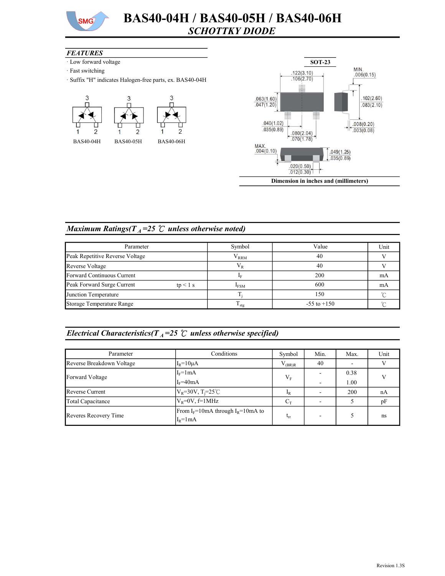

#### **FEATURES**

- · Low forward voltage
- · Fast switching
- · Suffix "H" indicates Halogen-free parts, ex. BAS40-04H





## Maximum Ratings( $T_A$ =25 °C unless otherwise noted)

| Parameter                                | Symbol            | Value           | Unit |
|------------------------------------------|-------------------|-----------------|------|
| Peak Repetitive Reverse Voltage          | $\rm V_{RRM}$     | 40              |      |
| Reverse Voltage                          | $V_R$             | 40              |      |
| Forward Continuous Current               |                   | 200             | mA   |
| Peak Forward Surge Current<br>$tp < 1$ s | $I_{FSM}$         | 600             | mA   |
| Junction Temperature                     |                   | 150             |      |
| Storage Temperature Range                | $\frac{1}{1}$ stg | $-55$ to $+150$ |      |

# Electrical Characteristics( $T_A$ =25  $\degree$  unless otherwise specified)

| Parameter                                                                           | Conditions                     | Symbol      | Min. | Max. | Unit |
|-------------------------------------------------------------------------------------|--------------------------------|-------------|------|------|------|
| Reverse Breakdown Voltage                                                           | $I_R = 10 \mu A$               | $V_{(BR)R}$ | 40   |      |      |
| Forward Voltage                                                                     | $I_F = 1mA$                    | $V_{F}$     |      | 0.38 |      |
|                                                                                     | $I_F = 40mA$                   |             |      | 1.00 |      |
| <b>Reverse Current</b>                                                              | $V_R = 30V, T_i = 25^{\circ}C$ | $I_R$       |      | 200  | nA   |
| Total Capacitance                                                                   | $V_R = 0V$ , f=1MHz            | $C_T$       |      |      | pF   |
| From $I_F = 10$ mA through $I_R = 10$ mA to<br>Reveres Recovery Time<br>$I_R = 1mA$ |                                | $t_{rr}$    |      |      | ns   |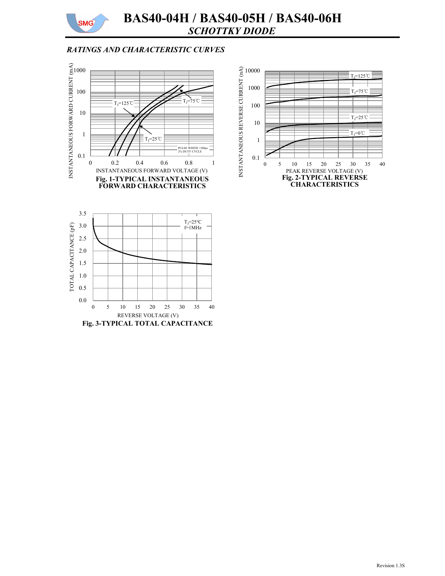

# BAS40-04H / BAS40-05H / BAS40-06H SCHOTTKY DIODE

### RATINGS AND CHARACTERISTIC CURVES



Fig. 3-TYPICAL TOTAL CAPACITANCE

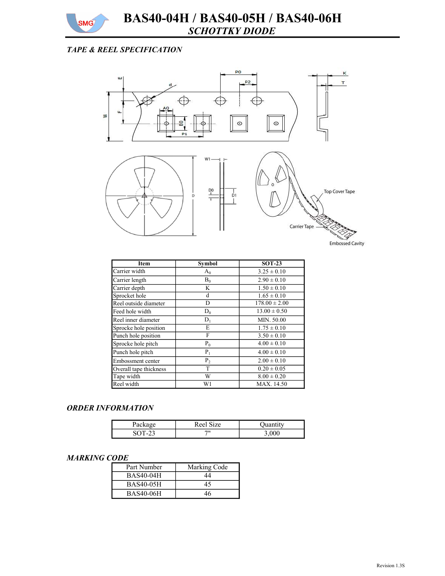

# TAPE & REEL SPECIFICATION



| <b>Item</b>            | <b>Symbol</b> | $SOT-23$          |
|------------------------|---------------|-------------------|
| Carrier width          | $A_0$         | $3.25 \pm 0.10$   |
| Carrier length         | $B_0$         | $2.90 \pm 0.10$   |
| Carrier depth          | K             | $1.50 \pm 0.10$   |
| Sprocket hole          | d             | $1.65 \pm 0.10$   |
| Reel outside diameter  | D             | $178.00 \pm 2.00$ |
| Feed hole width        | $D_0$         | $13.00 \pm 0.50$  |
| Reel inner diameter    | $D_1$         | MIN. 50.00        |
| Sprocke hole position  | E             | $1.75 \pm 0.10$   |
| Punch hole position    | F             | $3.50 \pm 0.10$   |
| Sprocke hole pitch     | $P_0$         | $4.00 \pm 0.10$   |
| Punch hole pitch       | $P_1$         | $4.00 \pm 0.10$   |
| Embossment center      | $P_2$         | $2.00 \pm 0.10$   |
| Overall tape thickness | T             | $0.20 \pm 0.05$   |
| Tape width             | W             | $8.00 \pm 0.20$   |
| Reel width             | W1            | MAX. 14.50        |

#### ORDER INFORMATION

| i avna        | Reel Size<br>1Ze |  |
|---------------|------------------|--|
| $\mathcal{L}$ | 711              |  |

#### MARKING CODE

| Part Number      | Marking Code |
|------------------|--------------|
| <b>BAS40-04H</b> | 44           |
| <b>BAS40-05H</b> | 45           |
| <b>BAS40-06H</b> | 46           |